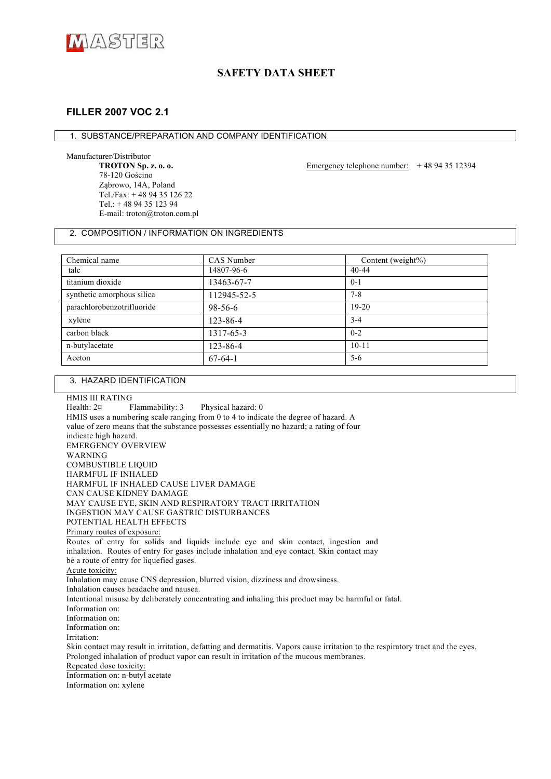

# **SAFETY DATA SHEET**

# **FILLER 2007 VOC 2.1**

#### 1. SUBSTANCE/PREPARATION AND COMPANY IDENTIFICATION

Manufacturer/Distributor

78-120 Gościno Ząbrowo, 14A, Poland Tel./Fax: + 48 94 35 126 22 Tel.: + 48 94 35 123 94 E-mail: troton@troton.com.pl

**TROTON Sp. z. o. o. Emergency telephone number:** +48 94 35 12394

# 2. COMPOSITION / INFORMATION ON INGREDIENTS

| Chemical name              | CAS Number    | Content (weight%) |
|----------------------------|---------------|-------------------|
| talc                       | 14807-96-6    | $40 - 44$         |
| titanium dioxide           | 13463-67-7    | $0 - 1$           |
| synthetic amorphous silica | 112945-52-5   | $7 - 8$           |
| parachlorobenzotrifluoride | $98 - 56 - 6$ | $19-20$           |
| xylene                     | 123-86-4      | $3 - 4$           |
| carbon black               | 1317-65-3     | $0 - 2$           |
| n-butylacetate             | 123-86-4      | $10 - 11$         |
| Aceton                     | $67-64-1$     | $5 - 6$           |

# 3. HAZARD IDENTIFICATION

HMIS III RATING Health:  $2\alpha$  Flammability: 3 Physical hazard: 0 HMIS uses a numbering scale ranging from 0 to 4 to indicate the degree of hazard. A value of zero means that the substance possesses essentially no hazard; a rating of four indicate high hazard. EMERGENCY OVERVIEW WARNING COMBUSTIBLE LIQUID HARMFUL IF INHALED HARMFUL IF INHALED CAUSE LIVER DAMAGE CAN CAUSE KIDNEY DAMAGE MAY CAUSE EYE, SKIN AND RESPIRATORY TRACT IRRITATION INGESTION MAY CAUSE GASTRIC DISTURBANCES POTENTIAL HEALTH EFFECTS Primary routes of exposure: Routes of entry for solids and liquids include eye and skin contact, ingestion and inhalation. Routes of entry for gases include inhalation and eye contact. Skin contact may be a route of entry for liquefied gases. Acute toxicity: Inhalation may cause CNS depression, blurred vision, dizziness and drowsiness. Inhalation causes headache and nausea. Intentional misuse by deliberately concentrating and inhaling this product may be harmful or fatal. Information on: Information on: Information on: Irritation: Skin contact may result in irritation, defatting and dermatitis. Vapors cause irritation to the respiratory tract and the eyes. Prolonged inhalation of product vapor can result in irritation of the mucous membranes. Repeated dose toxicity: Information on: n-butyl acetate Information on: xylene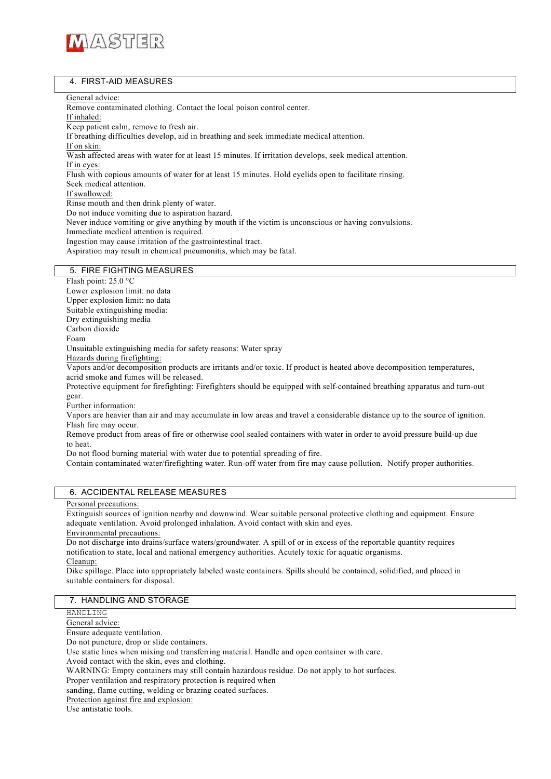

# 4. FIRST-AID MEASURES

#### General advice:

Remove contaminated clothing. Contact the local poison control center.

If inhaled: Keep patient calm, remove to fresh air.

If breathing difficulties develop, aid in breathing and seek immediate medical attention.

If on skin:

Wash affected areas with water for at least 15 minutes. If irritation develops, seek medical attention. If in eyes:

Flush with copious amounts of water for at least 15 minutes. Hold eyelids open to facilitate rinsing. Seek medical attention.

If swallowed:

Rinse mouth and then drink plenty of water.

Do not induce vomiting due to aspiration hazard.

Never induce vomiting or give anything by mouth if the victim is unconscious or having convulsions.

Immediate medical attention is required.

Ingestion may cause irritation of the gastrointestinal tract.

Aspiration may result in chemical pneumonitis, which may be fatal.

# 5. FIRE FIGHTING MEASURES

Flash point: 25.0 °C Lower explosion limit: no data Upper explosion limit: no data Suitable extinguishing media: Dry extinguishing media Carbon dioxide Foam Unsuitable extinguishing media for safety reasons: Water spray Hazards during firefighting: Vapors and/or decomposition products are irritants and/or toxic. If product is heated above decomposition temperatures, acrid smoke and fumes will be released. Protective equipment for firefighting: Firefighters should be equipped with self-contained breathing apparatus and turn-out gear. Further information: Vapors are heavier than air and may accumulate in low areas and travel a considerable distance up to the source of ignition. Flash fire may occur.

Remove product from areas of fire or otherwise cool sealed containers with water in order to avoid pressure build-up due to heat.

Do not flood burning material with water due to potential spreading of fire.

Contain contaminated water/firefighting water. Run-off water from fire may cause pollution. Notify proper authorities.

## 6. ACCIDENTAL RELEASE MEASURES

Personal precautions:

Extinguish sources of ignition nearby and downwind. Wear suitable personal protective clothing and equipment. Ensure adequate ventilation. Avoid prolonged inhalation. Avoid contact with skin and eyes. Environmental precautions:

Do not discharge into drains/surface waters/groundwater. A spill of or in excess of the reportable quantity requires notification to state, local and national emergency authorities. Acutely toxic for aquatic organisms.

Cleanup:

Dike spillage. Place into appropriately labeled waste containers. Spills should be contained, solidified, and placed in suitable containers for disposal.

#### 7. HANDLING AND STORAGE

HANDLING

General advice:

Ensure adequate ventilation.

Do not puncture, drop or slide containers.

Use static lines when mixing and transferring material. Handle and open container with care.

Avoid contact with the skin, eyes and clothing.

WARNING: Empty containers may still contain hazardous residue. Do not apply to hot surfaces.

Proper ventilation and respiratory protection is required when

sanding, flame cutting, welding or brazing coated surfaces.

Protection against fire and explosion:

Use antistatic tools.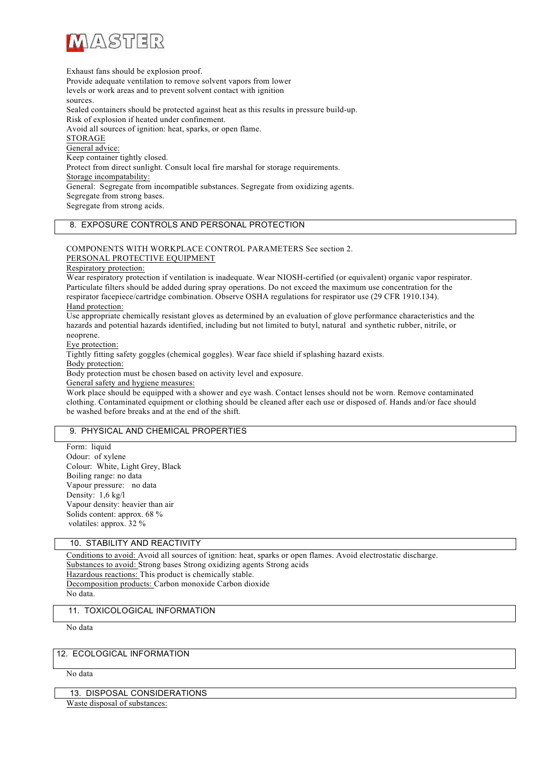

Exhaust fans should be explosion proof. Provide adequate ventilation to remove solvent vapors from lower levels or work areas and to prevent solvent contact with ignition sources. Sealed containers should be protected against heat as this results in pressure build-up. Risk of explosion if heated under confinement. Avoid all sources of ignition: heat, sparks, or open flame. STORAGE General advice: Keep container tightly closed. Protect from direct sunlight. Consult local fire marshal for storage requirements. Storage incompatability: General: Segregate from incompatible substances. Segregate from oxidizing agents. Segregate from strong bases. Segregate from strong acids.

### 8. EXPOSURE CONTROLS AND PERSONAL PROTECTION

# COMPONENTS WITH WORKPLACE CONTROL PARAMETERS See section 2.

PERSONAL PROTECTIVE EQUIPMENT Respiratory protection:

Wear respiratory protection if ventilation is inadequate. Wear NIOSH-certified (or equivalent) organic vapor respirator. Particulate filters should be added during spray operations. Do not exceed the maximum use concentration for the respirator facepiece/cartridge combination. Observe OSHA regulations for respirator use (29 CFR 1910.134).

Hand protection:

Use appropriate chemically resistant gloves as determined by an evaluation of glove performance characteristics and the hazards and potential hazards identified, including but not limited to butyl, natural and synthetic rubber, nitrile, or neoprene.

Eye protection:

Tightly fitting safety goggles (chemical goggles). Wear face shield if splashing hazard exists.

Body protection:

Body protection must be chosen based on activity level and exposure.

General safety and hygiene measures:

Work place should be equipped with a shower and eye wash. Contact lenses should not be worn. Remove contaminated clothing. Contaminated equipment or clothing should be cleaned after each use or disposed of. Hands and/or face should be washed before breaks and at the end of the shift.

### 9. PHYSICAL AND CHEMICAL PROPERTIES

Form: liquid Odour: of xylene Colour: White, Light Grey, Black Boiling range: no data Vapour pressure: no data Density: 1,6 kg/l Vapour density: heavier than air Solids content: approx. 68 % volatiles: approx. 32 %

## 10. STABILITY AND REACTIVITY

Conditions to avoid: Avoid all sources of ignition: heat, sparks or open flames. Avoid electrostatic discharge. Substances to avoid: Strong bases Strong oxidizing agents Strong acids Hazardous reactions: This product is chemically stable. Decomposition products: Carbon monoxide Carbon dioxide No data.

### 11. TOXICOLOGICAL INFORMATION

No data

# 12. ECOLOGICAL INFORMATION

No data

13. DISPOSAL CONSIDERATIONS

Waste disposal of substances: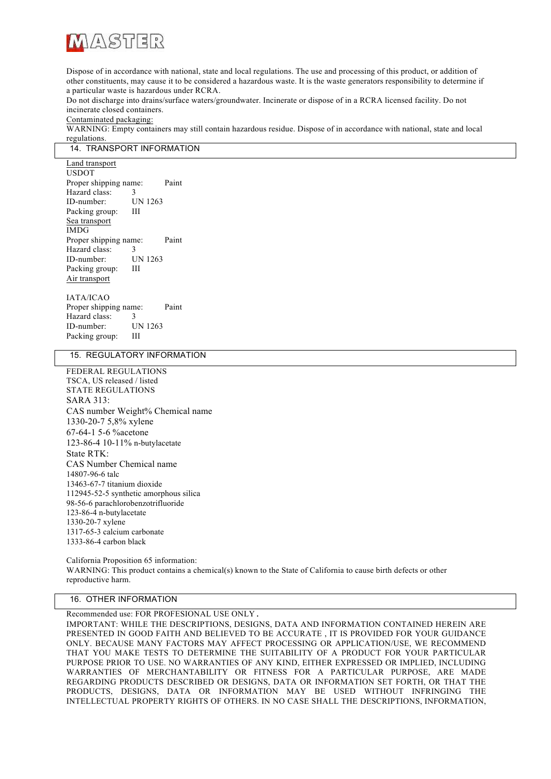

Dispose of in accordance with national, state and local regulations. The use and processing of this product, or addition of other constituents, may cause it to be considered a hazardous waste. It is the waste generators responsibility to determine if a particular waste is hazardous under RCRA.

Do not discharge into drains/surface waters/groundwater. Incinerate or dispose of in a RCRA licensed facility. Do not incinerate closed containers.

Contaminated packaging:

WARNING: Empty containers may still contain hazardous residue. Dispose of in accordance with national, state and local regulations.

#### 14. TRANSPORT INFORMATION

Land transport USDOT Proper shipping name: Paint Hazard class: 3 ID-number: UN 1263 Packing group: III Sea transport IMDG Proper shipping name: Paint Hazard class: 3 ID-number: UN 1263 Packing group: III Air transport

#### IATA/ICAO

Proper shipping name: Paint Hazard class: 3 ID-number: UN 1263 Packing group: III

#### 15. REGULATORY INFORMATION

FEDERAL REGULATIONS TSCA, US released / listed STATE REGULATIONS SARA 313: CAS number Weight% Chemical name 1330-20-7 5,8% xylene 67-64-1 5-6 %acetone 123-86-4 10-11% n-butylacetate State RTK: CAS Number Chemical name 14807-96-6 talc 13463-67-7 titanium dioxide 112945-52-5 synthetic amorphous silica 98-56-6 parachlorobenzotrifluoride 123-86-4 n-butylacetate 1330-20-7 xylene 1317-65-3 calcium carbonate 1333-86-4 carbon black

California Proposition 65 information: WARNING: This product contains a chemical(s) known to the State of California to cause birth defects or other reproductive harm.

#### 16. OTHER INFORMATION

Recommended use: FOR PROFESIONAL USE ONLY.

IMPORTANT: WHILE THE DESCRIPTIONS, DESIGNS, DATA AND INFORMATION CONTAINED HEREIN ARE PRESENTED IN GOOD FAITH AND BELIEVED TO BE ACCURATE , IT IS PROVIDED FOR YOUR GUIDANCE ONLY. BECAUSE MANY FACTORS MAY AFFECT PROCESSING OR APPLICATION/USE, WE RECOMMEND THAT YOU MAKE TESTS TO DETERMINE THE SUITABILITY OF A PRODUCT FOR YOUR PARTICULAR PURPOSE PRIOR TO USE. NO WARRANTIES OF ANY KIND, EITHER EXPRESSED OR IMPLIED, INCLUDING WARRANTIES OF MERCHANTABILITY OR FITNESS FOR A PARTICULAR PURPOSE, ARE MADE REGARDING PRODUCTS DESCRIBED OR DESIGNS, DATA OR INFORMATION SET FORTH, OR THAT THE PRODUCTS, DESIGNS, DATA OR INFORMATION MAY BE USED WITHOUT INFRINGING THE INTELLECTUAL PROPERTY RIGHTS OF OTHERS. IN NO CASE SHALL THE DESCRIPTIONS, INFORMATION,